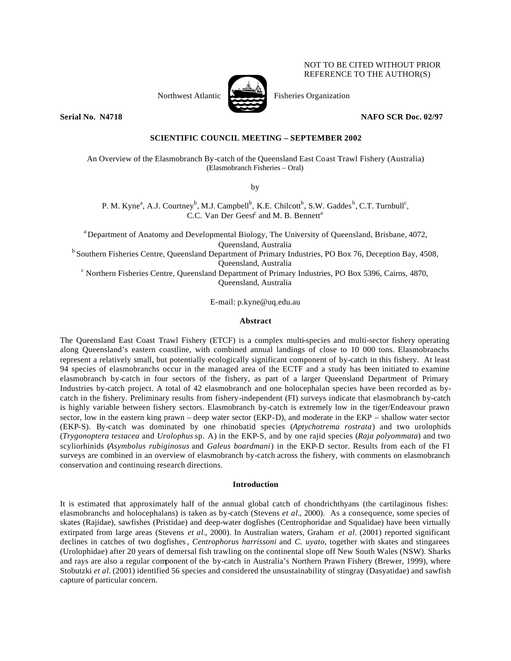Northwest Atlantic Fisheries Organization

# **Serial No. N4718 NAFO SCR Doc. 02/97**

NOT TO BE CITED WITHOUT PRIOR REFERENCE TO THE AUTHOR(S)

# **SCIENTIFIC COUNCIL MEETING – SEPTEMBER 2002**

An Overview of the Elasmobranch By-catch of the Queensland East Coast Trawl Fishery (Australia) (Elasmobranch Fisheries – Oral)

by

P. M. Kyne<sup>a</sup>, A.J. Courtney<sup>b</sup>, M.J. Campbell<sup>b</sup>, K.E. Chilcott<sup>b</sup>, S.W. Gaddes<sup>b</sup>, C.T. Turnbull<sup>c</sup>, C.C. Van Der Geest<sup>c</sup> and M. B. Bennett<sup>a</sup>

<sup>a</sup> Department of Anatomy and Developmental Biology, The University of Queensland, Brisbane, 4072, Queensland, Australia

<sup>b</sup> Southern Fisheries Centre, Queensland Department of Primary Industries, PO Box 76, Deception Bay, 4508, Queensland, Australia

c Northern Fisheries Centre, Queensland Department of Primary Industries, PO Box 5396, Cairns, 4870, Queensland, Australia

E-mail: p.kyne@uq.edu.au

### **Abstract**

The Queensland East Coast Trawl Fishery (ETCF) is a complex multi-species and multi-sector fishery operating along Queensland's eastern coastline, with combined annual landings of close to 10 000 tons. Elasmobranchs represent a relatively small, but potentially ecologically significant component of by-catch in this fishery. At least 94 species of elasmobranchs occur in the managed area of the ECTF and a study has been initiated to examine elasmobranch by-catch in four sectors of the fishery, as part of a larger Queensland Department of Primary Industries by-catch project. A total of 42 elasmobranch and one holocephalan species have been recorded as bycatch in the fishery. Preliminary results from fishery-independent (FI) surveys indicate that elasmobranch by-catch is highly variable between fishery sectors. Elasmobranch by-catch is extremely low in the tiger/Endeavour prawn sector, low in the eastern king prawn – deep water sector (EKP-D), and moderate in the EKP – shallow water sector (EKP-S). By-catch was dominated by one rhinobatid species (*Aptychotrema rostrata*) and two urolophids (*Trygonoptera testacea* and *Urolophus* sp. A) in the EKP-S, and by one rajid species (*Raja polyommata*) and two scyliorhinids (*Asymbolus rubiginosus* and *Galeus boardmani*) in the EKP-D sector. Results from each of the FI surveys are combined in an overview of elasmobranch by-catch across the fishery, with comments on elasmobranch conservation and continuing research directions.

#### **Introduction**

It is estimated that approximately half of the annual global catch of chondrichthyans (the cartilaginous fishes: elasmobranchs and holocephalans) is taken as by-catch (Stevens *et al.*, 2000).As a consequence, some species of skates (Rajidae), sawfishes (Pristidae) and deep-water dogfishes (Centrophoridae and Squalidae) have been virtually extirpated from large areas (Stevens *et al.*, 2000). In Australian waters, Graham *et al.* (2001) reported significant declines in catches of two dogfishes*, Centrophorus harrissoni* and *C. uyato*, together with skates and stingarees (Urolophidae) after 20 years of demersal fish trawling on the continental slope off New South Wales (NSW). Sharks and rays are also a regular component of the by-catch in Australia's Northern Prawn Fishery (Brewer, 1999), where Stobutzki *et al.* (2001) identified 56 species and considered the unsustainability of stingray (Dasyatidae) and sawfish capture of particular concern.

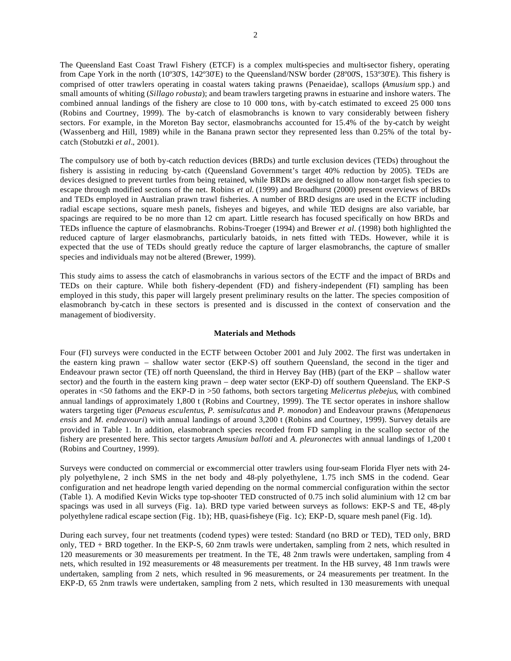The Queensland East Coast Trawl Fishery (ETCF) is a complex multi-species and multi-sector fishery, operating from Cape York in the north (10°30'S, 142°30'E) to the Queensland/NSW border (28°00'S, 153°30'E). This fishery is comprised of otter trawlers operating in coastal waters taking prawns (Penaeidae), scallops (*Amusium* spp.) and small amounts of whiting (*Sillago robusta*); and beam trawlers targeting prawns in estuarine and inshore waters. The combined annual landings of the fishery are close to 10 000 tons, with by-catch estimated to exceed 25 000 tons (Robins and Courtney, 1999). The by-catch of elasmobranchs is known to vary considerably between fishery sectors. For example, in the Moreton Bay sector, elasmobranchs accounted for 15.4% of the by-catch by weight (Wassenberg and Hill, 1989) while in the Banana prawn sector they represented less than 0.25% of the total bycatch (Stobutzki *et al.*, 2001).

The compulsory use of both by-catch reduction devices (BRDs) and turtle exclusion devices (TEDs) throughout the fishery is assisting in reducing by-catch (Queensland Government's target 40% reduction by 2005). TEDs are devices designed to prevent turtles from being retained, while BRDs are designed to allow non-target fish species to escape through modified sections of the net. Robins *et al.* (1999) and Broadhurst (2000) present overviews of BRDs and TEDs employed in Australian prawn trawl fisheries. A number of BRD designs are used in the ECTF including radial escape sections, square mesh panels, fisheyes and bigeyes, and while TED designs are also variable, bar spacings are required to be no more than 12 cm apart. Little research has focused specifically on how BRDs and TEDs influence the capture of elasmobranchs. Robins-Troeger (1994) and Brewer *et al.* (1998) both highlighted the reduced capture of larger elasmobranchs, particularly batoids, in nets fitted with TEDs. However, while it is expected that the use of TEDs should greatly reduce the capture of larger elasmobranchs, the capture of smaller species and individuals may not be altered (Brewer, 1999).

This study aims to assess the catch of elasmobranchs in various sectors of the ECTF and the impact of BRDs and TEDs on their capture. While both fishery-dependent (FD) and fishery-independent (FI) sampling has been employed in this study, this paper will largely present preliminary results on the latter. The species composition of elasmobranch by-catch in these sectors is presented and is discussed in the context of conservation and the management of biodiversity.

#### **Materials and Methods**

Four (FI) surveys were conducted in the ECTF between October 2001 and July 2002. The first was undertaken in the eastern king prawn – shallow water sector (EKP-S) off southern Queensland, the second in the tiger and Endeavour prawn sector (TE) off north Queensland, the third in Hervey Bay (HB) (part of the EKP – shallow water sector) and the fourth in the eastern king prawn – deep water sector (EKP-D) off southern Queensland. The EKP-S operates in <50 fathoms and the EKP-D in >50 fathoms, both sectors targeting *Melicertus plebejus*, with combined annual landings of approximately 1,800 t (Robins and Courtney, 1999). The TE sector operates in inshore shallow waters targeting tiger (*Penaeus esculentus*, *P. semisulcatus* and *P. monodon*) and Endeavour prawns (*Metapenaeus ensis* and *M. endeavouri*) with annual landings of around 3,200 t (Robins and Courtney, 1999). Survey details are provided in Table 1. In addition, elasmobranch species recorded from FD sampling in the scallop sector of the fishery are presented here. This sector targets *Amusium balloti* and *A. pleuronectes* with annual landings of 1,200 t (Robins and Courtney, 1999).

Surveys were conducted on commercial or ex-commercial otter trawlers using four-seam Florida Flyer nets with 24 ply polyethylene, 2 inch SMS in the net body and 48-ply polyethylene, 1.75 inch SMS in the codend. Gear configuration and net headrope length varied depending on the normal commercial configuration within the sector (Table 1). A modified Kevin Wicks type top-shooter TED constructed of 0.75 inch solid aluminium with 12 cm bar spacings was used in all surveys (Fig. 1a). BRD type varied between surveys as follows: EKP-S and TE, 48-ply polyethylene radical escape section (Fig. 1b); HB, quasi-fisheye (Fig. 1c); EKP-D, square mesh panel (Fig. 1d).

During each survey, four net treatments (codend types) were tested: Standard (no BRD or TED), TED only, BRD only, TED + BRD together. In the EKP-S, 60 2nm trawls were undertaken, sampling from 2 nets, which resulted in 120 measurements or 30 measurements per treatment. In the TE, 48 2nm trawls were undertaken, sampling from 4 nets, which resulted in 192 measurements or 48 measurements per treatment. In the HB survey, 48 1nm trawls were undertaken, sampling from 2 nets, which resulted in 96 measurements, or 24 measurements per treatment. In the EKP-D, 65 2nm trawls were undertaken, sampling from 2 nets, which resulted in 130 measurements with unequal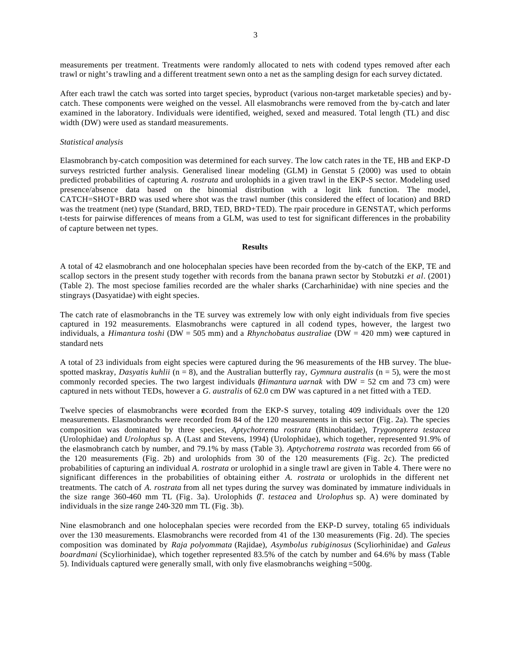measurements per treatment. Treatments were randomly allocated to nets with codend types removed after each trawl or night's trawling and a different treatment sewn onto a net as the sampling design for each survey dictated.

After each trawl the catch was sorted into target species, byproduct (various non-target marketable species) and bycatch. These components were weighed on the vessel. All elasmobranchs were removed from the by-catch and later examined in the laboratory. Individuals were identified, weighed, sexed and measured. Total length (TL) and disc width (DW) were used as standard measurements.

#### *Statistical analysis*

Elasmobranch by-catch composition was determined for each survey. The low catch rates in the TE, HB and EKP-D surveys restricted further analysis. Generalised linear modeling (GLM) in Genstat 5 (2000) was used to obtain predicted probabilities of capturing *A. rostrata* and urolophids in a given trawl in the EKP-S sector. Modeling used presence/absence data based on the binomial distribution with a logit link function. The model, CATCH=SHOT+BRD was used where shot was the trawl number (this considered the effect of location) and BRD was the treatment (net) type (Standard, BRD, TED, BRD+TED). The rpair procedure in GENSTAT, which performs t-tests for pairwise differences of means from a GLM, was used to test for significant differences in the probability of capture between net types.

### **Results**

A total of 42 elasmobranch and one holocephalan species have been recorded from the by-catch of the EKP, TE and scallop sectors in the present study together with records from the banana prawn sector by Stobutzki *et al.* (2001) (Table 2). The most speciose families recorded are the whaler sharks (Carcharhinidae) with nine species and the stingrays (Dasyatidae) with eight species.

The catch rate of elasmobranchs in the TE survey was extremely low with only eight individuals from five species captured in 192 measurements. Elasmobranchs were captured in all codend types, however, the largest two individuals, a *Himantura toshi* (DW = 505 mm) and a *Rhynchobatus australiae* (DW = 420 mm) were captured in standard nets

A total of 23 individuals from eight species were captured during the 96 measurements of the HB survey. The bluespotted maskray, *Dasyatis kuhlii* ( $n = 8$ ), and the Australian butterfly ray, *Gymnura australis* ( $n = 5$ ), were the mo st commonly recorded species. The two largest individuals (*Himantura uarnak* with DW = 52 cm and 73 cm) were captured in nets without TEDs, however a *G. australis* of 62.0 cm DW was captured in a net fitted with a TED.

Twelve species of elasmobranchs were recorded from the EKP-S survey, totaling 409 individuals over the 120 measurements. Elasmobranchs were recorded from 84 of the 120 measurements in this sector (Fig. 2a). The species composition was dominated by three species, *Aptychotrema rostrata* (Rhinobatidae), *Trygonoptera testacea* (Urolophidae) and *Urolophus* sp. A (Last and Stevens, 1994) (Urolophidae), which together, represented 91.9% of the elasmobranch catch by number, and 79.1% by mass (Table 3). *Aptychotrema rostrata* was recorded from 66 of the 120 measurements (Fig. 2b) and urolophids from 30 of the 120 measurements (Fig. 2c). The predicted probabilities of capturing an individual *A. rostrata* or urolophid in a single trawl are given in Table 4. There were no significant differences in the probabilities of obtaining either *A. rostrata* or urolophids in the different net treatments. The catch of *A. rostrata* from all net types during the survey was dominated by immature individuals in the size range 360-460 mm TL (Fig. 3a). Urolophids (*T. testacea* and *Urolophus* sp. A) were dominated by individuals in the size range 240-320 mm TL (Fig. 3b).

Nine elasmobranch and one holocephalan species were recorded from the EKP-D survey, totaling 65 individuals over the 130 measurements. Elasmobranchs were recorded from 41 of the 130 measurements (Fig. 2d). The species composition was dominated by *Raja polyommata* (Rajidae), *Asymbolus rubiginosus* (Scyliorhinidae) and *Galeus boardmani* (Scyliorhinidae), which together represented 83.5% of the catch by number and 64.6% by mass (Table 5). Individuals captured were generally small, with only five elasmobranchs weighing =500g.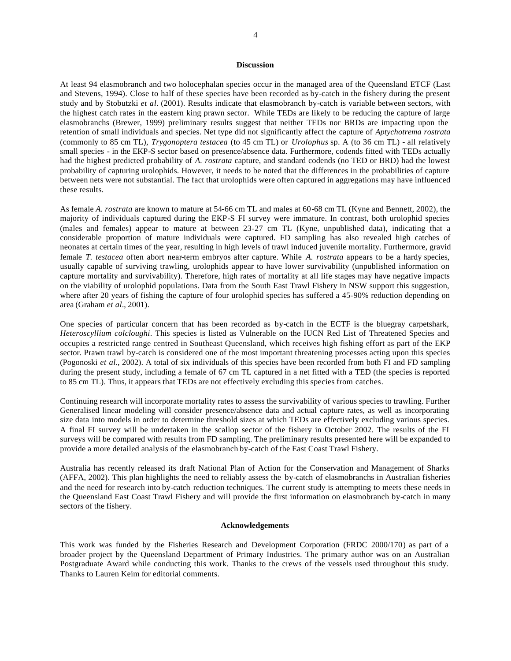## **Discussion**

At least 94 elasmobranch and two holocephalan species occur in the managed area of the Queensland ETCF (Last and Stevens, 1994). Close to half of these species have been recorded as by-catch in the fishery during the present study and by Stobutzki *et al.* (2001). Results indicate that elasmobranch by-catch is variable between sectors, with the highest catch rates in the eastern king prawn sector. While TEDs are likely to be reducing the capture of large elasmobranchs (Brewer, 1999) preliminary results suggest that neither TEDs nor BRDs are impacting upon the retention of small individuals and species. Net type did not significantly affect the capture of *Aptychotrema rostrata* (commonly to 85 cm TL), *Trygonoptera testacea* (to 45 cm TL) or *Urolophus* sp. A (to 36 cm TL) - all relatively small species - in the EKP-S sector based on presence/absence data. Furthermore, codends fitted with TEDs actually had the highest predicted probability of *A. rostrata* capture, and standard codends (no TED or BRD) had the lowest probability of capturing urolophids. However, it needs to be noted that the differences in the probabilities of capture between nets were not substantial. The fact that urolophids were often captured in aggregations may have influenced these results.

As female *A. rostrata* are known to mature at 54-66 cm TL and males at 60-68 cm TL (Kyne and Bennett, 2002), the majority of individuals captured during the EKP-S FI survey were immature. In contrast, both urolophid species (males and females) appear to mature at between 23-27 cm TL (Kyne, unpublished data), indicating that a considerable proportion of mature individuals were captured. FD sampling has also revealed high catches of neonates at certain times of the year, resulting in high levels of trawl induced juvenile mortality. Furthermore, gravid female *T. testacea* often abort near-term embryos after capture. While *A. rostrata* appears to be a hardy species, usually capable of surviving trawling, urolophids appear to have lower survivability (unpublished information on capture mortality and survivability). Therefore, high rates of mortality at all life stages may have negative impacts on the viability of urolophid populations. Data from the South East Trawl Fishery in NSW support this suggestion, where after 20 years of fishing the capture of four urolophid species has suffered a 45-90% reduction depending on area (Graham *et al.*, 2001).

One species of particular concern that has been recorded as by-catch in the ECTF is the bluegray carpetshark, *Heteroscyllium colcloughi*. This species is listed as Vulnerable on the IUCN Red List of Threatened Species and occupies a restricted range centred in Southeast Queensland, which receives high fishing effort as part of the EKP sector. Prawn trawl by-catch is considered one of the most important threatening processes acting upon this species (Pogonoski *et al.*, 2002). A total of six individuals of this species have been recorded from both FI and FD sampling during the present study, including a female of 67 cm TL captured in a net fitted with a TED (the species is reported to 85 cm TL). Thus, it appears that TEDs are not effectively excluding this species from catches.

Continuing research will incorporate mortality rates to assess the survivability of various species to trawling. Further Generalised linear modeling will consider presence/absence data and actual capture rates, as well as incorporating size data into models in order to determine threshold sizes at which TEDs are effectively excluding various species. A final FI survey will be undertaken in the scallop sector of the fishery in October 2002. The results of the FI surveys will be compared with results from FD sampling. The preliminary results presented here will be expanded to provide a more detailed analysis of the elasmobranch by-catch of the East Coast Trawl Fishery.

Australia has recently released its draft National Plan of Action for the Conservation and Management of Sharks (AFFA, 2002). This plan highlights the need to reliably assess the by-catch of elasmobranchs in Australian fisheries and the need for research into by-catch reduction techniques. The current study is attempting to meets these needs in the Queensland East Coast Trawl Fishery and will provide the first information on elasmobranch by-catch in many sectors of the fishery.

#### **Acknowledgements**

This work was funded by the Fisheries Research and Development Corporation (FRDC 2000/170) as part of a broader project by the Queensland Department of Primary Industries. The primary author was on an Australian Postgraduate Award while conducting this work. Thanks to the crews of the vessels used throughout this study. Thanks to Lauren Keim for editorial comments.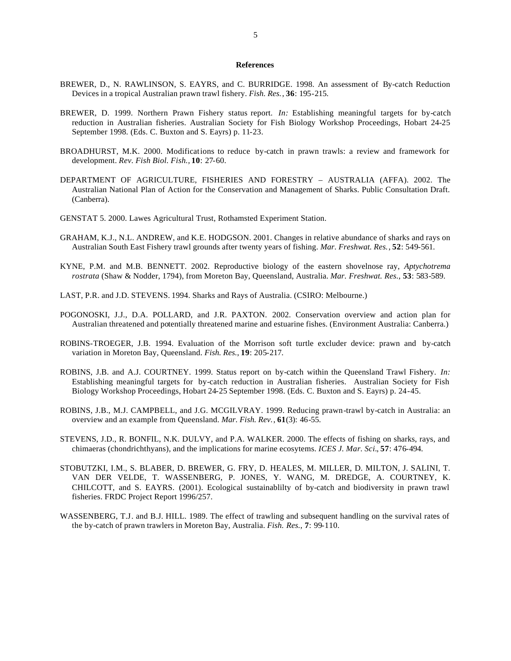#### **References**

- BREWER, D., N. RAWLINSON, S. EAYRS, and C. BURRIDGE. 1998. An assessment of By-catch Reduction Devices in a tropical Australian prawn trawl fishery. *Fish. Res.*, **36**: 195-215.
- BREWER, D. 1999. Northern Prawn Fishery status report. *In:* Establishing meaningful targets for by-catch reduction in Australian fisheries. Australian Society for Fish Biology Workshop Proceedings, Hobart 24-25 September 1998. (Eds. C. Buxton and S. Eayrs) p. 11-23.
- BROADHURST, M.K. 2000. Modifications to reduce by-catch in prawn trawls: a review and framework for development. *Rev. Fish Biol. Fish.,* **10**: 27-60.
- DEPARTMENT OF AGRICULTURE, FISHERIES AND FORESTRY AUSTRALIA (AFFA). 2002. The Australian National Plan of Action for the Conservation and Management of Sharks. Public Consultation Draft. (Canberra).
- GENSTAT 5. 2000. Lawes Agricultural Trust, Rothamsted Experiment Station.
- GRAHAM, K.J., N.L. ANDREW, and K.E. HODGSON. 2001. Changes in relative abundance of sharks and rays on Australian South East Fishery trawl grounds after twenty years of fishing. *Mar. Freshwat. Res.*, **52**: 549-561.
- KYNE, P.M. and M.B. BENNETT. 2002. Reproductive biology of the eastern shovelnose ray, *Aptychotrema rostrata* (Shaw & Nodder, 1794), from Moreton Bay, Queensland, Australia. *Mar. Freshwat. Res.*, **53**: 583-589.
- LAST, P.R. and J.D. STEVENS. 1994. Sharks and Rays of Australia. (CSIRO: Melbourne.)
- POGONOSKI, J.J., D.A. POLLARD, and J.R. PAXTON. 2002. Conservation overview and action plan for Australian threatened and potentially threatened marine and estuarine fishes. (Environment Australia: Canberra.)
- ROBINS-TROEGER, J.B. 1994. Evaluation of the Morrison soft turtle excluder device: prawn and by-catch variation in Moreton Bay, Queensland. *Fish. Res.*, **19**: 205-217.
- ROBINS, J.B. and A.J. COURTNEY. 1999. Status report on by-catch within the Queensland Trawl Fishery. *In:* Establishing meaningful targets for by-catch reduction in Australian fisheries. Australian Society for Fish Biology Workshop Proceedings, Hobart 24-25 September 1998. (Eds. C. Buxton and S. Eayrs) p. 24-45.
- ROBINS, J.B., M.J. CAMPBELL, and J.G. MCGILVRAY. 1999. Reducing prawn-trawl by-catch in Australia: an overview and an example from Queensland. *Mar. Fish. Rev.*, **61**(3): 46-55.
- STEVENS, J.D., R. BONFIL, N.K. DULVY, and P.A. WALKER. 2000. The effects of fishing on sharks, rays, and chimaeras (chondrichthyans), and the implications for marine ecosytems. *ICES J. Mar. Sci.*, **57**: 476-494.
- STOBUTZKI, I.M., S. BLABER, D. BREWER, G. FRY, D. HEALES, M. MILLER, D. MILTON, J. SALINI, T. VAN DER VELDE, T. WASSENBERG, P. JONES, Y. WANG, M. DREDGE, A. COURTNEY, K. CHILCOTT, and S. EAYRS. (2001). Ecological sustainablilty of by-catch and biodiversity in prawn trawl fisheries. FRDC Project Report 1996/257.
- WASSENBERG, T.J. and B.J. HILL. 1989. The effect of trawling and subsequent handling on the survival rates of the by-catch of prawn trawlers in Moreton Bay, Australia. *Fish. Res.*, **7**: 99-110.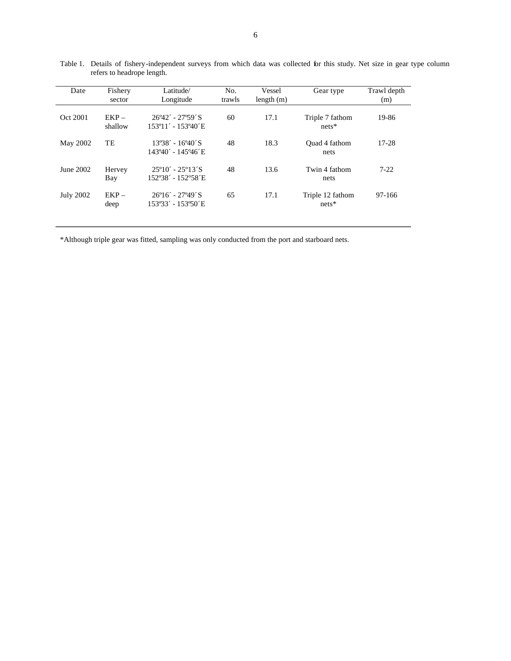| Date             | Fishery<br>sector  | Latitude/<br>Longitude                                   | No.<br>trawls | Vessel<br>length(m) | Gear type                   | Trawl depth<br>(m) |
|------------------|--------------------|----------------------------------------------------------|---------------|---------------------|-----------------------------|--------------------|
| Oct 2001         | $EKP -$<br>shallow | $26942' - 27959'$ S<br>153°11′ - 153°40′ E               | 60            | 17.1                | Triple 7 fathom<br>$nets*$  | 19-86              |
| May 2002         | TE                 | $13\degree 38' - 16\degree 40'$ S<br>143°40′ - 145°46′ E | 48            | 18.3                | Ouad 4 fathom<br>nets       | 17-28              |
| June 2002        | Hervey<br>Bay      | $25^{\circ}10' - 25^{\circ}13'S$<br>152°38′ - 152°58′ E  | 48            | 13.6                | Twin 4 fathom<br>nets       | $7-22$             |
| <b>July 2002</b> | $EKP -$<br>deep    | $26^{\circ}16' - 27^{\circ}49'$ S<br>153°33′ - 153°50′ E | 65            | 17.1                | Triple 12 fathom<br>$nets*$ | 97-166             |

Table 1. Details of fishery-independent surveys from which data was collected for this study. Net size in gear type column refers to headrope length.

\*Although triple gear was fitted, sampling was only conducted from the port and starboard nets.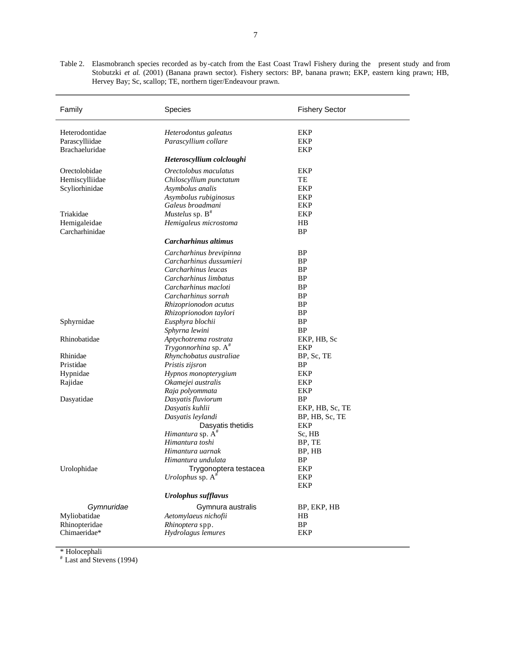Table 2. Elasmobranch species recorded as by-catch from the East Coast Trawl Fishery during the present study and from Stobutzki *et al.* (2001) (Banana prawn sector). Fishery sectors: BP, banana prawn; EKP, eastern king prawn; HB, Hervey Bay; Sc, scallop; TE, northern tiger/Endeavour prawn.

| Family                | Species                             | <b>Fishery Sector</b> |
|-----------------------|-------------------------------------|-----------------------|
| Heterodontidae        | Heterodontus galeatus               | EKP                   |
| Parascylliidae        | Parascyllium collare                | EKP                   |
| <b>Brachaeluridae</b> |                                     | EKP                   |
|                       | Heteroscyllium colcloughi           |                       |
| Orectolobidae         | Orectolobus maculatus               | EKP                   |
| Hemiscylliidae        | Chiloscyllium punctatum             | TE                    |
| Scyliorhinidae        | Asymbolus analis                    | EKP                   |
|                       | Asymbolus rubiginosus               | EKP                   |
|                       | Galeus broadmani                    | EKP                   |
| Triakidae             | Mustelus sp. $B^*$                  | EKP                   |
| Hemigaleidae          | Hemigaleus microstoma               | HB                    |
| Carcharhinidae        |                                     | ΒP                    |
|                       | Carcharhinus altimus                |                       |
|                       | Carcharhinus brevipinna             | BP                    |
|                       | Carcharhinus dussumieri             | BP                    |
|                       | Carcharhinus leucas                 | <b>BP</b>             |
|                       | Carcharhinus limbatus               | <b>BP</b>             |
|                       | Carcharhinus macloti                | <b>BP</b>             |
|                       | Carcharhinus sorrah                 | <b>BP</b>             |
|                       | Rhizoprionodon acutus               | <b>BP</b>             |
|                       | Rhizoprionodon taylori              | <b>BP</b>             |
| Sphyrnidae            | Eusphyra blochii                    | BP                    |
|                       | Sphyrna lewini                      | <b>BP</b>             |
| Rhinobatidae          | Aptychotrema rostrata               | EKP, HB, Sc           |
|                       | Trygonnorhina sp. A <sup>#</sup>    | EKP                   |
| Rhinidae              | Rhynchobatus australiae             | BP, Sc, TE            |
| Pristidae             | Pristis zijsron                     | ВP                    |
| Hypnidae              | Hypnos monopterygium                | EKP                   |
| Rajidae               | Okamejei australis                  | EKP                   |
|                       | Raja polyommata                     | EKP                   |
| Dasyatidae            | Dasyatis fluviorum                  | BP                    |
|                       | Dasyatis kuhlii                     | EKP, HB, Sc, TE       |
|                       | Dasyatis leylandi                   | BP, HB, Sc, TE        |
|                       | Dasyatis thetidis                   | EKP                   |
|                       | <i>Himantura</i> sp. A <sup>#</sup> | Sc, HB                |
|                       | Himantura toshi                     | BP, TE                |
|                       | Himantura uarnak                    | BP, HB                |
|                       | Himantura undulata                  | <b>BP</b>             |
| Urolophidae           | Trygonoptera testacea               | EKP                   |
|                       | Urolophus sp. $A^*$                 | EKP                   |
|                       |                                     | EKP                   |
|                       | <b>Urolophus sufflavus</b>          |                       |
| Gymnuridae            | Gymnura australis                   | BP, EKP, HB           |
| Myliobatidae          | Aetomylaeus nichofii                | HB                    |
| Rhinopteridae         | Rhinoptera spp.                     | <b>BP</b>             |
| Chimaeridae*          | Hydrolagus lemures                  | EKP                   |

\* Holocephali

# Last and Stevens (1994)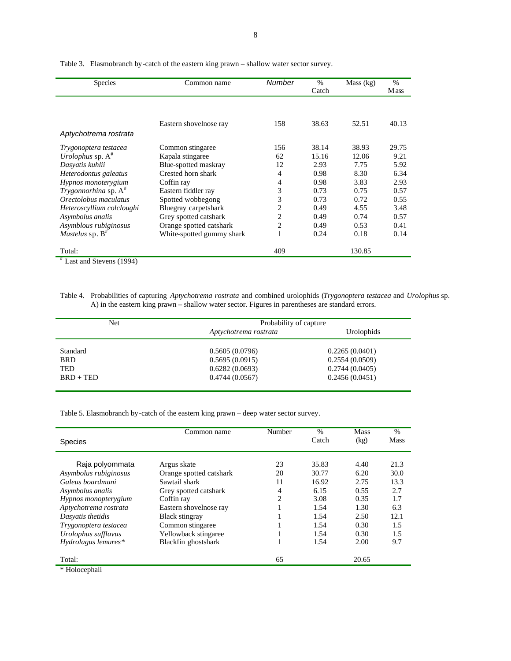| <b>Species</b>            | Common name               | Number | $\%$  | Mass (kg) | $\%$  |
|---------------------------|---------------------------|--------|-------|-----------|-------|
|                           |                           |        | Catch |           | M ass |
|                           |                           |        |       |           |       |
|                           |                           |        |       |           |       |
|                           | Eastern shovelnose ray    | 158    | 38.63 | 52.51     | 40.13 |
| Aptychotrema rostrata     |                           |        |       |           |       |
| Trygonoptera testacea     | Common stingaree          | 156    | 38.14 | 38.93     | 29.75 |
| Urolophus sp. $A^*$       | Kapala stingaree          | 62     | 15.16 | 12.06     | 9.21  |
| Dasvatis kuhlii           | Blue-spotted maskray      | 12     | 2.93  | 7.75      | 5.92  |
| Heterodontus galeatus     | Crested horn shark        | 4      | 0.98  | 8.30      | 6.34  |
| Hypnos monoterygium       | Coffin ray                | 4      | 0.98  | 3.83      | 2.93  |
| Trygonnorhina sp. $A^*$   | Eastern fiddler ray       | 3      | 0.73  | 0.75      | 0.57  |
| Orectolobus maculatus     | Spotted wobbegong         | 3      | 0.73  | 0.72      | 0.55  |
| Heteroscyllium colcloughi | Bluegray carpetshark      | 2      | 0.49  | 4.55      | 3.48  |
| Asymbolus analis          | Grey spotted catshark     | 2      | 0.49  | 0.74      | 0.57  |
| Asymblous rubiginosus     | Orange spotted catshark   | 2      | 0.49  | 0.53      | 0.41  |
| Mustelus sp. $B^*$        | White-spotted gummy shark |        | 0.24  | 0.18      | 0.14  |
| Total:<br>$\pm$ $\pm$     |                           | 409    |       | 130.85    |       |

Table 3. Elasmobranch by-catch of the eastern king prawn – shallow water sector survey.

Last and Stevens (1994)

Table 4. Probabilities of capturing *Aptychotrema rostrata* and combined urolophids (*Trygonoptera testacea* and *Urolophus* sp. A) in the eastern king prawn – shallow water sector. Figures in parentheses are standard errors.

| Probability of capture |                |  |  |
|------------------------|----------------|--|--|
| Aptychotrema rostrata  | Urolophids     |  |  |
| 0.5605(0.0796)         | 0.2265(0.0401) |  |  |
| 0.5695(0.0915)         | 0.2554(0.0509) |  |  |
| 0.6282(0.0693)         | 0.2744(0.0405) |  |  |
| 0.4744(0.0567)         | 0.2456(0.0451) |  |  |
|                        |                |  |  |

Table 5. Elasmobranch by-catch of the eastern king prawn – deep water sector survey.

|                       | Common name             | Number         | $\%$  | <b>Mass</b> | $\%$        |
|-----------------------|-------------------------|----------------|-------|-------------|-------------|
| <b>Species</b>        |                         |                | Catch | (kg)        | <b>Mass</b> |
| Raja polyommata       | Argus skate             | 23             | 35.83 | 4.40        | 21.3        |
| Asymbolus rubiginosus | Orange spotted catshark | 20             | 30.77 | 6.20        | 30.0        |
| Galeus boardmani      | Sawtail shark           | 11             | 16.92 | 2.75        | 13.3        |
| Asymbolus analis      | Grey spotted catshark   | 4              | 6.15  | 0.55        | 2.7         |
| Hypnos monopterygium  | Coffin ray              | $\overline{c}$ | 3.08  | 0.35        | 1.7         |
| Aptychotrema rostrata | Eastern shovelnose ray  |                | 1.54  | 1.30        | 6.3         |
| Dasvatis thetidis     | <b>Black stingray</b>   |                | 1.54  | 2.50        | 12.1        |
| Trygonoptera testacea | Common stingaree        |                | 1.54  | 0.30        | 1.5         |
| Urolophus sufflavus   | Yellowback stingaree    |                | 1.54  | 0.30        | 1.5         |
| Hydrolagus lemures*   | Blackfin ghostshark     |                | 1.54  | 2.00        | 9.7         |
| Total:                |                         | 65             |       | 20.65       |             |
| * Holocephali         |                         |                |       |             |             |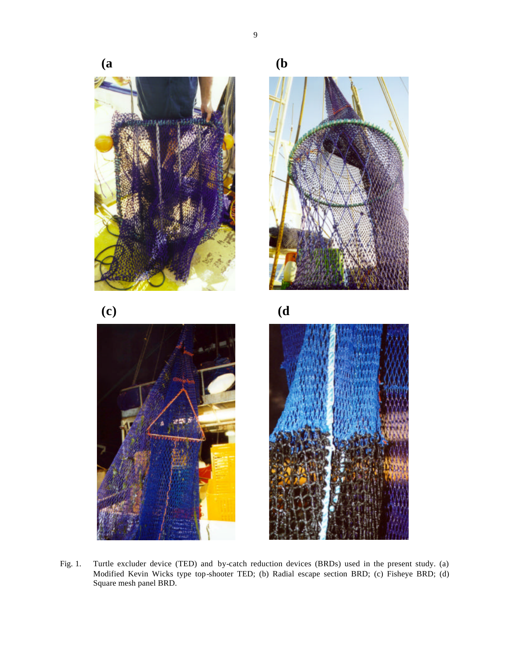

Fig. 1. Turtle excluder device (TED) and by-catch reduction devices (BRDs) used in the present study. (a) Modified Kevin Wicks type top-shooter TED; (b) Radial escape section BRD; (c) Fisheye BRD; (d) Square mesh panel BRD.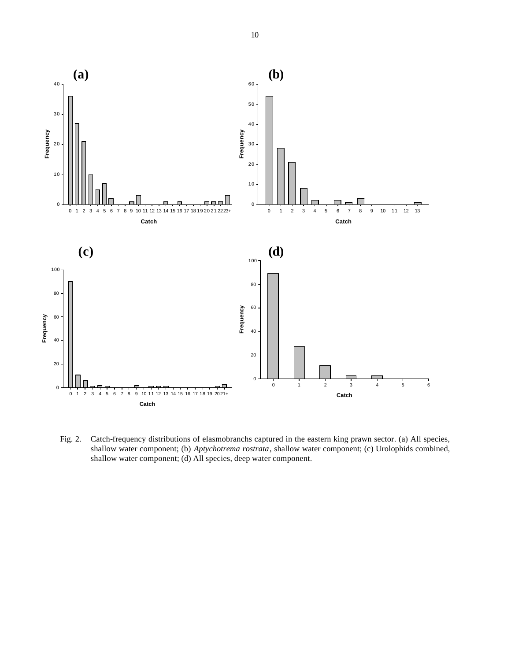

Fig. 2. Catch-frequency distributions of elasmobranchs captured in the eastern king prawn sector. (a) All species, shallow water component; (b) *Aptychotrema rostrata*, shallow water component; (c) Urolophids combined, shallow water component; (d) All species, deep water component.